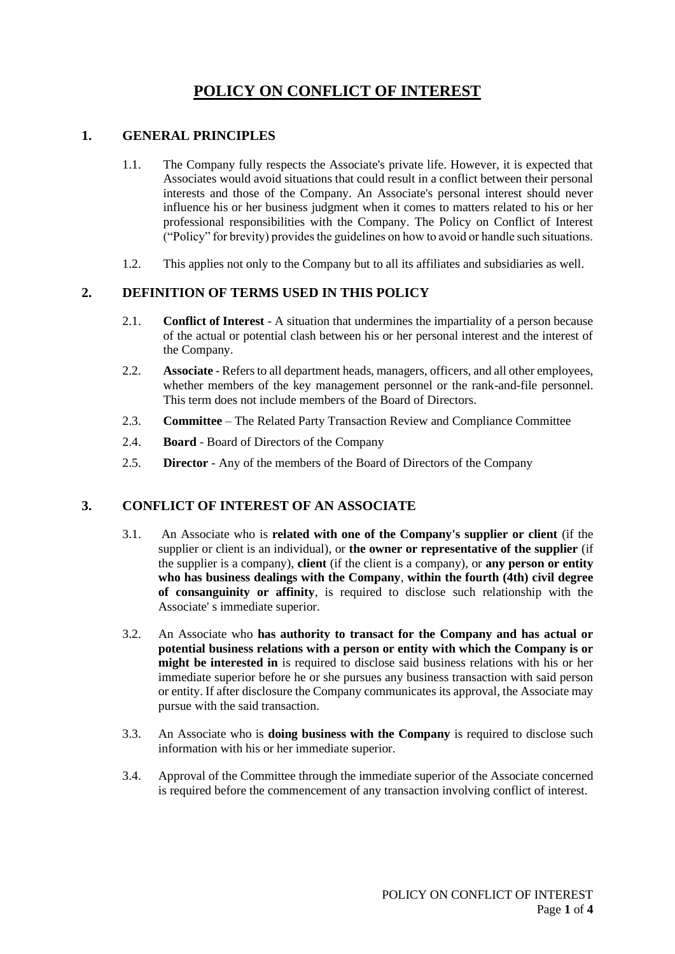# **POLICY ON CONFLICT OF INTEREST**

#### **1. GENERAL PRINCIPLES**

- 1.1. The Company fully respects the Associate's private life. However, it is expected that Associates would avoid situations that could result in a conflict between their personal interests and those of the Company. An Associate's personal interest should never influence his or her business judgment when it comes to matters related to his or her professional responsibilities with the Company. The Policy on Conflict of Interest ("Policy" for brevity) provides the guidelines on how to avoid or handle such situations.
- 1.2. This applies not only to the Company but to all its affiliates and subsidiaries as well.

## **2. DEFINITION OF TERMS USED IN THIS POLICY**

- 2.1. **Conflict of Interest** A situation that undermines the impartiality of a person because of the actual or potential clash between his or her personal interest and the interest of the Company.
- 2.2. **Associate** Refers to all department heads, managers, officers, and all other employees, whether members of the key management personnel or the rank-and-file personnel. This term does not include members of the Board of Directors.
- 2.3. **Committee** The Related Party Transaction Review and Compliance Committee
- 2.4. **Board** Board of Directors of the Company
- 2.5. **Director** Any of the members of the Board of Directors of the Company

## **3. CONFLICT OF INTEREST OF AN ASSOCIATE**

- 3.1. An Associate who is **related with one of the Company's supplier or client** (if the supplier or client is an individual), or **the owner or representative of the supplier** (if the supplier is a company), **client** (if the client is a company), or **any person or entity who has business dealings with the Company**, **within the fourth (4th) civil degree of consanguinity or affinity**, is required to disclose such relationship with the Associate' s immediate superior.
- 3.2. An Associate who **has authority to transact for the Company and has actual or potential business relations with a person or entity with which the Company is or might be interested in** is required to disclose said business relations with his or her immediate superior before he or she pursues any business transaction with said person or entity. If after disclosure the Company communicates its approval, the Associate may pursue with the said transaction.
- 3.3. An Associate who is **doing business with the Company** is required to disclose such information with his or her immediate superior.
- 3.4. Approval of the Committee through the immediate superior of the Associate concerned is required before the commencement of any transaction involving conflict of interest.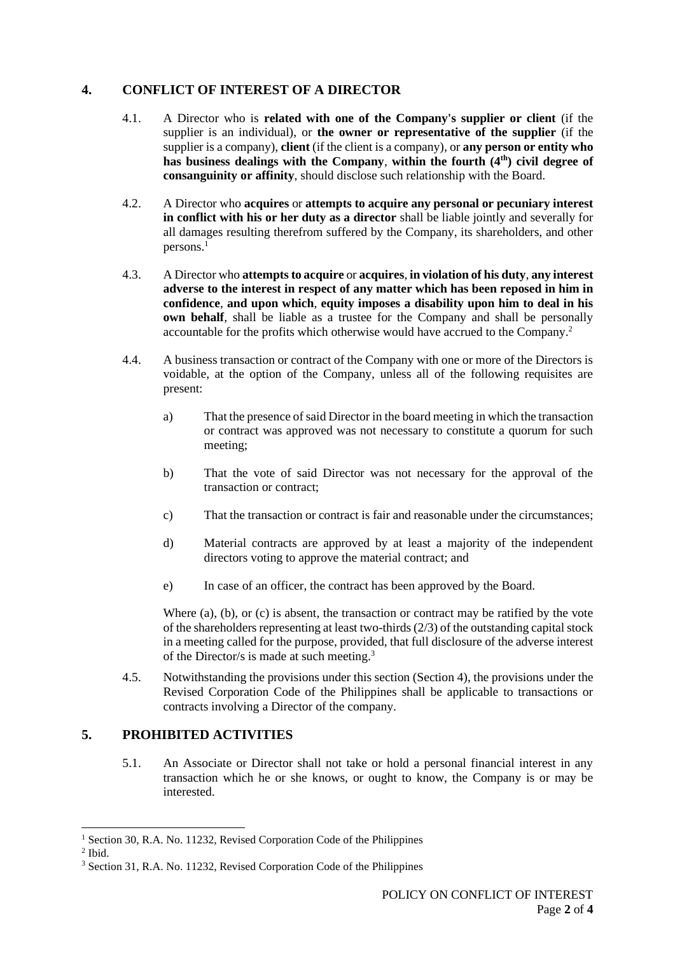## **4. CONFLICT OF INTEREST OF A DIRECTOR**

- 4.1. A Director who is **related with one of the Company's supplier or client** (if the supplier is an individual), or **the owner or representative of the supplier** (if the supplier is a company), **client** (if the client is a company), or **any person or entity who has business dealings with the Company**, **within the fourth (4th) civil degree of consanguinity or affinity**, should disclose such relationship with the Board.
- 4.2. A Director who **acquires** or **attempts to acquire any personal or pecuniary interest in conflict with his or her duty as a director** shall be liable jointly and severally for all damages resulting therefrom suffered by the Company, its shareholders, and other persons.<sup>1</sup>
- 4.3. A Director who **attempts to acquire** or **acquires**, **in violation of his duty**, **any interest adverse to the interest in respect of any matter which has been reposed in him in confidence**, **and upon which**, **equity imposes a disability upon him to deal in his own behalf**, shall be liable as a trustee for the Company and shall be personally accountable for the profits which otherwise would have accrued to the Company.<sup>2</sup>
- 4.4. A business transaction or contract of the Company with one or more of the Directors is voidable, at the option of the Company, unless all of the following requisites are present:
	- a) That the presence of said Director in the board meeting in which the transaction or contract was approved was not necessary to constitute a quorum for such meeting;
	- b) That the vote of said Director was not necessary for the approval of the transaction or contract;
	- c) That the transaction or contract is fair and reasonable under the circumstances;
	- d) Material contracts are approved by at least a majority of the independent directors voting to approve the material contract; and
	- e) In case of an officer, the contract has been approved by the Board.

Where (a), (b), or (c) is absent, the transaction or contract may be ratified by the vote of the shareholders representing at least two-thirds  $(2/3)$  of the outstanding capital stock in a meeting called for the purpose, provided, that full disclosure of the adverse interest of the Director/s is made at such meeting.<sup>3</sup>

4.5. Notwithstanding the provisions under this section (Section 4), the provisions under the Revised Corporation Code of the Philippines shall be applicable to transactions or contracts involving a Director of the company.

#### **5. PROHIBITED ACTIVITIES**

5.1. An Associate or Director shall not take or hold a personal financial interest in any transaction which he or she knows, or ought to know, the Company is or may be interested.

<sup>&</sup>lt;sup>1</sup> Section 30, R.A. No. 11232, Revised Corporation Code of the Philippines

 $<sup>2</sup>$  Ibid.</sup>

<sup>3</sup> Section 31, R.A. No. 11232, Revised Corporation Code of the Philippines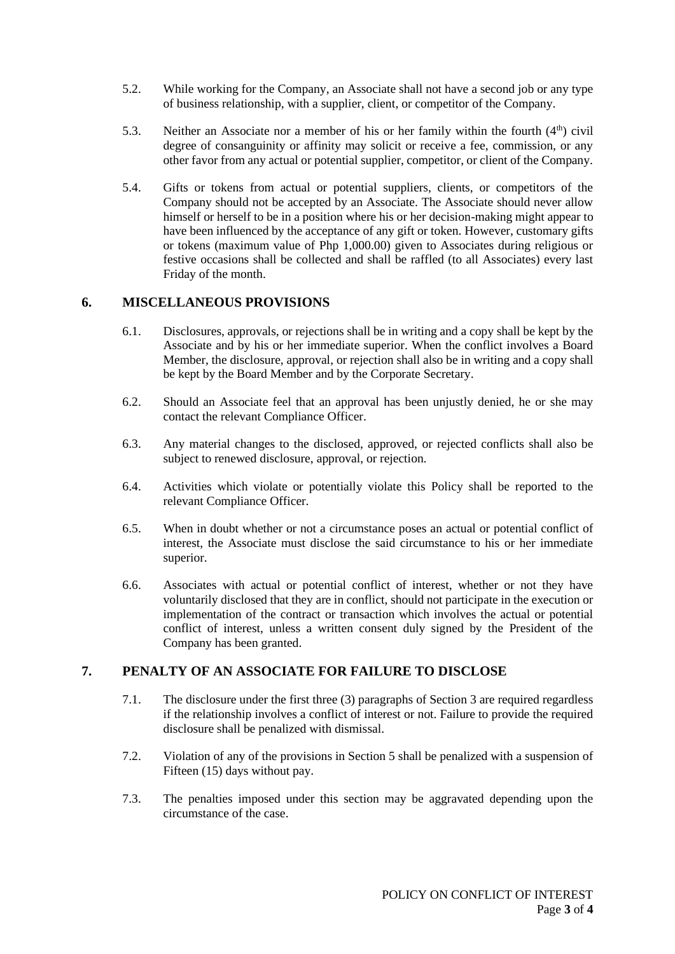- 5.2. While working for the Company, an Associate shall not have a second job or any type of business relationship, with a supplier, client, or competitor of the Company.
- 5.3. Neither an Associate nor a member of his or her family within the fourth  $(4<sup>th</sup>)$  civil degree of consanguinity or affinity may solicit or receive a fee, commission, or any other favor from any actual or potential supplier, competitor, or client of the Company.
- 5.4. Gifts or tokens from actual or potential suppliers, clients, or competitors of the Company should not be accepted by an Associate. The Associate should never allow himself or herself to be in a position where his or her decision-making might appear to have been influenced by the acceptance of any gift or token. However, customary gifts or tokens (maximum value of Php 1,000.00) given to Associates during religious or festive occasions shall be collected and shall be raffled (to all Associates) every last Friday of the month.

#### **6. MISCELLANEOUS PROVISIONS**

- 6.1. Disclosures, approvals, or rejections shall be in writing and a copy shall be kept by the Associate and by his or her immediate superior. When the conflict involves a Board Member, the disclosure, approval, or rejection shall also be in writing and a copy shall be kept by the Board Member and by the Corporate Secretary.
- 6.2. Should an Associate feel that an approval has been unjustly denied, he or she may contact the relevant Compliance Officer.
- 6.3. Any material changes to the disclosed, approved, or rejected conflicts shall also be subject to renewed disclosure, approval, or rejection.
- 6.4. Activities which violate or potentially violate this Policy shall be reported to the relevant Compliance Officer.
- 6.5. When in doubt whether or not a circumstance poses an actual or potential conflict of interest, the Associate must disclose the said circumstance to his or her immediate superior.
- 6.6. Associates with actual or potential conflict of interest, whether or not they have voluntarily disclosed that they are in conflict, should not participate in the execution or implementation of the contract or transaction which involves the actual or potential conflict of interest, unless a written consent duly signed by the President of the Company has been granted.

#### **7. PENALTY OF AN ASSOCIATE FOR FAILURE TO DISCLOSE**

- 7.1. The disclosure under the first three (3) paragraphs of Section 3 are required regardless if the relationship involves a conflict of interest or not. Failure to provide the required disclosure shall be penalized with dismissal.
- 7.2. Violation of any of the provisions in Section 5 shall be penalized with a suspension of Fifteen (15) days without pay.
- 7.3. The penalties imposed under this section may be aggravated depending upon the circumstance of the case.